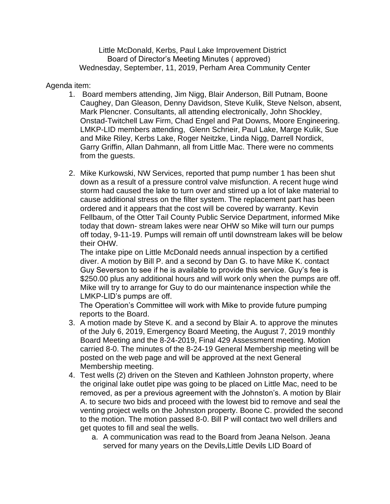Little McDonald, Kerbs, Paul Lake Improvement District Board of Director's Meeting Minutes ( approved) Wednesday, September, 11, 2019, Perham Area Community Center

Agenda item:

- 1. Board members attending, Jim Nigg, Blair Anderson, Bill Putnam, Boone Caughey, Dan Gleason, Denny Davidson, Steve Kulik, Steve Nelson, absent, Mark Plencner. Consultants, all attending electronically, John Shockley, Onstad-Twitchell Law Firm, Chad Engel and Pat Downs, Moore Engineering. LMKP-LID members attending, Glenn Schrieir, Paul Lake, Marge Kulik, Sue and Mike Riley, Kerbs Lake, Roger Neitzke, Linda Nigg, Darrell Nordick, Garry Griffin, Allan Dahmann, all from Little Mac. There were no comments from the guests.
- 2. Mike Kurkowski, NW Services, reported that pump number 1 has been shut down as a result of a pressure control valve misfunction. A recent huge wind storm had caused the lake to turn over and stirred up a lot of lake material to cause additional stress on the filter system. The replacement part has been ordered and it appears that the cost will be covered by warranty. Kevin Fellbaum, of the Otter Tail County Public Service Department, informed Mike today that down- stream lakes were near OHW so Mike will turn our pumps off today, 9-11-19. Pumps will remain off until downstream lakes will be below their OHW.

The intake pipe on Little McDonald needs annual inspection by a certified diver. A motion by Bill P. and a second by Dan G. to have Mike K. contact Guy Severson to see if he is available to provide this service. Guy's fee is \$250.00 plus any additional hours and will work only when the pumps are off. Mike will try to arrange for Guy to do our maintenance inspection while the LMKP-LID's pumps are off.

The Operation's Committee will work with Mike to provide future pumping reports to the Board.

- 3. A motion made by Steve K. and a second by Blair A. to approve the minutes of the July 6, 2019, Emergency Board Meeting, the August 7, 2019 monthly Board Meeting and the 8-24-2019, Final 429 Assessment meeting. Motion carried 8-0. The minutes of the 8-24-19 General Membership meeting will be posted on the web page and will be approved at the next General Membership meeting.
- 4. Test wells (2) driven on the Steven and Kathleen Johnston property, where the original lake outlet pipe was going to be placed on Little Mac, need to be removed, as per a previous agreement with the Johnston's. A motion by Blair A. to secure two bids and proceed with the lowest bid to remove and seal the venting project wells on the Johnston property. Boone C. provided the second to the motion. The motion passed 8-0. Bill P will contact two well drillers and get quotes to fill and seal the wells.
	- a. A communication was read to the Board from Jeana Nelson. Jeana served for many years on the Devils,Little Devils LID Board of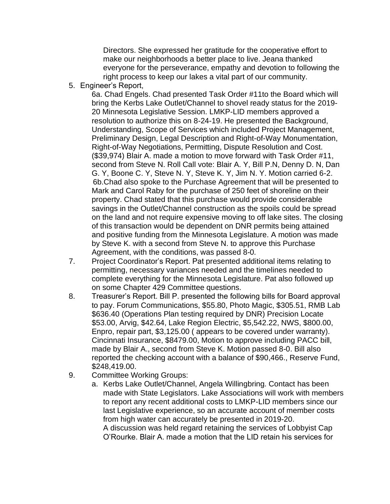Directors. She expressed her gratitude for the cooperative effort to make our neighborhoods a better place to live. Jeana thanked everyone for the perseverance, empathy and devotion to following the right process to keep our lakes a vital part of our community.

5. Engineer's Report,

6a. Chad Engels. Chad presented Task Order #11to the Board which will bring the Kerbs Lake Outlet/Channel to shovel ready status for the 2019- 20 Minnesota Legislative Session. LMKP-LID members approved a resolution to authorize this on 8-24-19. He presented the Background, Understanding, Scope of Services which included Project Management, Preliminary Design, Legal Description and Right-of-Way Monumentation, Right-of-Way Negotiations, Permitting, Dispute Resolution and Cost. (\$39,974) Blair A. made a motion to move forward with Task Order #11, second from Steve N. Roll Call vote: Blair A. Y, Bill P.N, Denny D. N, Dan G. Y, Boone C. Y, Steve N. Y, Steve K. Y, Jim N. Y. Motion carried 6-2. 6b.Chad also spoke to the Purchase Agreement that will be presented to Mark and Carol Raby for the purchase of 250 feet of shoreline on their property. Chad stated that this purchase would provide considerable savings in the Outlet/Channel construction as the spoils could be spread on the land and not require expensive moving to off lake sites. The closing of this transaction would be dependent on DNR permits being attained and positive funding from the Minnesota Legislature. A motion was made by Steve K. with a second from Steve N. to approve this Purchase Agreement, with the conditions, was passed 8-0.

- 7. Project Coordinator's Report. Pat presented additional items relating to permitting, necessary variances needed and the timelines needed to complete everything for the Minnesota Legislature. Pat also followed up on some Chapter 429 Committee questions.
- 8. Treasurer's Report. Bill P. presented the following bills for Board approval to pay. Forum Communications, \$55.80, Photo Magic, \$305.51, RMB Lab \$636.40 (Operations Plan testing required by DNR) Precision Locate \$53.00, Arvig, \$42.64, Lake Region Electric, \$5,542.22, NWS, \$800.00, Enpro, repair part, \$3,125.00 ( appears to be covered under warranty). Cincinnati Insurance, \$8479.00, Motion to approve including PACC bill, made by Blair A., second from Steve K. Motion passed 8-0. Bill also reported the checking account with a balance of \$90,466., Reserve Fund, \$248,419.00.
- 9. Committee Working Groups:
	- a. Kerbs Lake Outlet/Channel, Angela Willingbring. Contact has been made with State Legislators. Lake Associations will work with members to report any recent additional costs to LMKP-LID members since our last Legislative experience, so an accurate account of member costs from high water can accurately be presented in 2019-20. A discussion was held regard retaining the services of Lobbyist Cap O'Rourke. Blair A. made a motion that the LID retain his services for